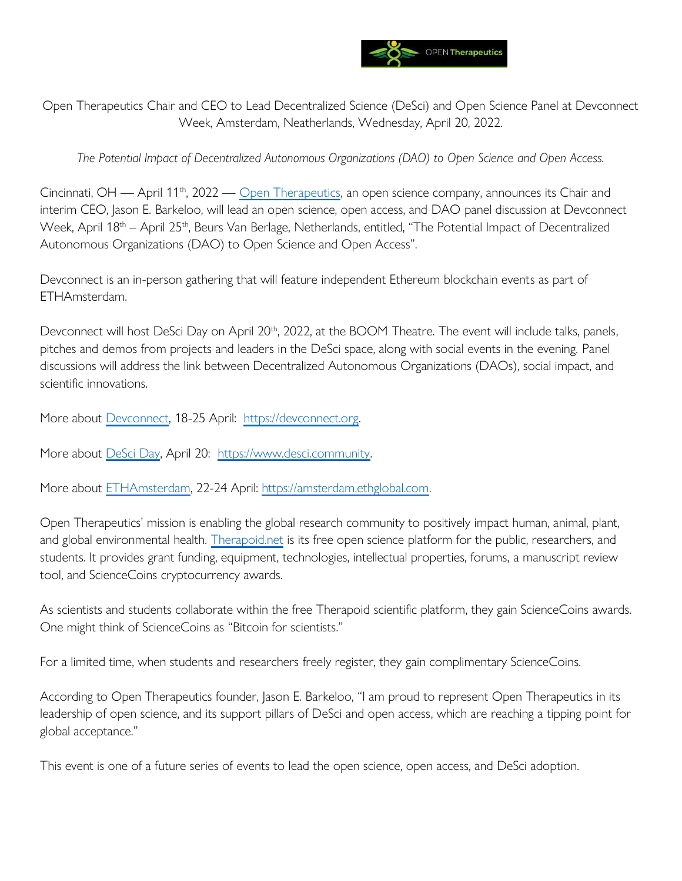

Open Therapeutics Chair and CEO to Lead Decentralized Science (DeSci) and Open Science Panel at Devconnect Week, Amsterdam, Neatherlands, Wednesday, April 20, 2022.

*The Potential Impact of Decentralized Autonomous Organizations (DAO) to Open Science and Open Access.*

Cincinnati, OH — April 11<sup>th</sup>, 2022 — [Open Therapeutics,](https://opentherapeutics.org/) an open science company, announces its Chair and interim CEO, Jason E. Barkeloo, will lead an open science, open access, and DAO panel discussion at Devconnect Week, April 18<sup>th</sup> – April 25<sup>th</sup>, Beurs Van Berlage, Netherlands, entitled, "The Potential Impact of Decentralized Autonomous Organizations (DAO) to Open Science and Open Access".

Devconnect is an in-person gathering that will feature independent Ethereum blockchain events as part of ETHAmsterdam.

Devconnect will host DeSci Day on April 20<sup>th</sup>, 2022, at the BOOM Theatre. The event will include talks, panels, pitches and demos from projects and leaders in the DeSci space, along with social events in the evening. Panel discussions will address the link between Decentralized Autonomous Organizations (DAOs), social impact, and scientific innovations.

More about [Devconnect,](https://devconnect.org/) 18-25 April: [https://devconnect.org.](https://devconnect.org/)

More about [DeSci Day,](https://www.desci.community/) April 20: [https://www.desci.community.](https://www.desci.community/) 

More about [ETHAmsterdam,](https://amsterdam.ethglobal.com/) 22-24 April: [https://amsterdam.ethglobal.com.](https://amsterdam.ethglobal.com/)

Open Therapeutics' mission is enabling the global research community to positively impact human, animal, plant, and global environmental health. [Therapoid.net](https://therapoid.net/) is its free open science platform for the public, researchers, and students. It provides grant funding, equipment, technologies, intellectual properties, forums, a manuscript review tool, and ScienceCoins cryptocurrency awards.

As scientists and students collaborate within the free Therapoid scientific platform, they gain ScienceCoins awards. One might think of ScienceCoins as "Bitcoin for scientists."

For a limited time, when students and researchers freely register, they gain complimentary ScienceCoins.

According to Open Therapeutics founder, Jason E. Barkeloo, "I am proud to represent Open Therapeutics in its leadership of open science, and its support pillars of DeSci and open access, which are reaching a tipping point for global acceptance."

This event is one of a future series of events to lead the open science, open access, and DeSci adoption.